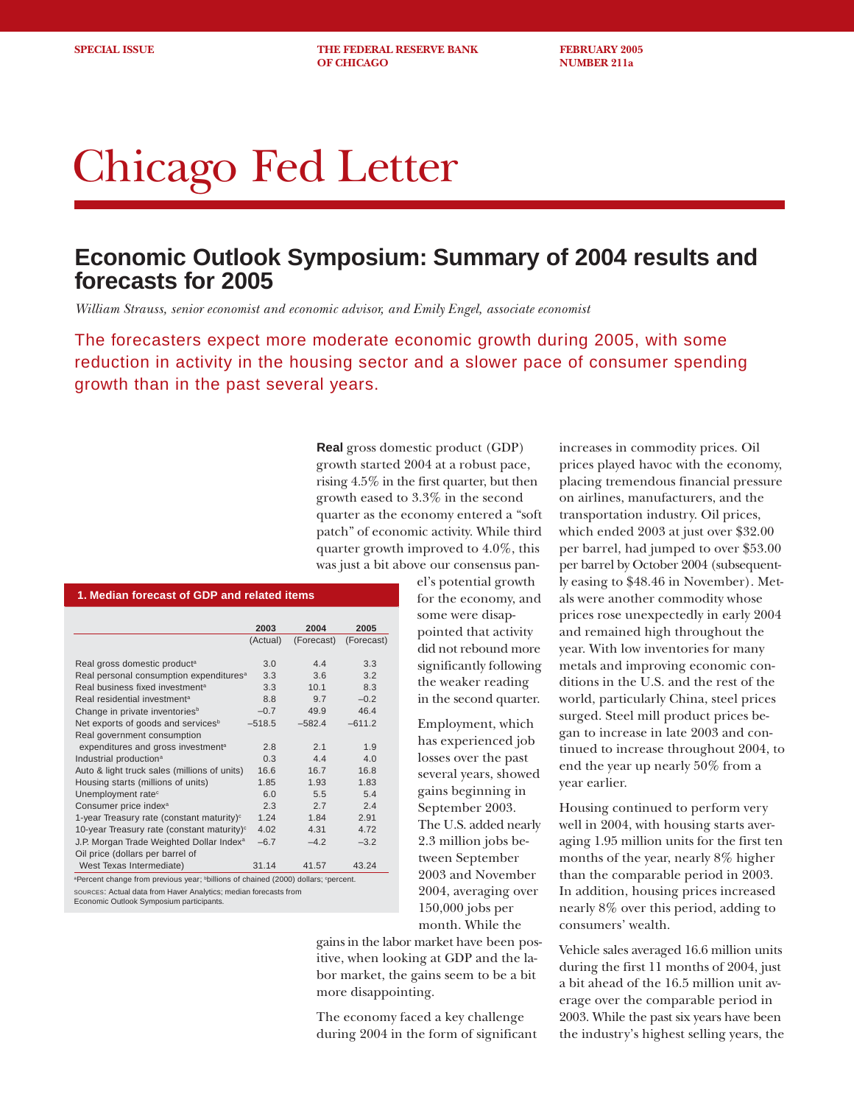**SPECIAL ISSUE THE FEDERAL RESERVE BANK FEBRUARY 2005 OF CHICAGO NUMBER 211a** 

# Chicago Fed Letter

# **Economic Outlook Symposium: Summary of 2004 results and forecasts for 2005**

*William Strauss, senior economist and economic advisor, and Emily Engel, associate economist*

The forecasters expect more moderate economic growth during 2005, with some reduction in activity in the housing sector and a slower pace of consumer spending growth than in the past several years.

> **Real** gross domestic product (GDP) growth started 2004 at a robust pace, rising 4.5% in the first quarter, but then growth eased to 3.3% in the second quarter as the economy entered a "soft patch" of economic activity. While third quarter growth improved to 4.0%, this was just a bit above our consensus pan-

#### **1. Median forecast of GDP and related items**

|                                                                                                                        | 2003     | 2004       | 2005       |
|------------------------------------------------------------------------------------------------------------------------|----------|------------|------------|
|                                                                                                                        | (Actual) | (Forecast) | (Forecast) |
| Real gross domestic product <sup>a</sup>                                                                               | 3.0      | 4.4        | 3.3        |
| Real personal consumption expenditures <sup>a</sup>                                                                    | 3.3      | 3.6        | 3.2        |
| Real business fixed investment <sup>a</sup>                                                                            | 3.3      | 10.1       | 8.3        |
| Real residential investment <sup>a</sup>                                                                               | 8.8      | 9.7        | $-0.2$     |
| Change in private inventories <sup>b</sup>                                                                             | $-0.7$   | 49.9       | 46.4       |
| Net exports of goods and services <sup>b</sup>                                                                         | $-518.5$ | $-582.4$   | $-611.2$   |
| Real government consumption                                                                                            |          |            |            |
| expenditures and gross investment <sup>a</sup>                                                                         | 2.8      | 2.1        | 1.9        |
| Industrial production <sup>a</sup>                                                                                     | 0.3      | 4.4        | 4.0        |
| Auto & light truck sales (millions of units)                                                                           | 16.6     | 16.7       | 16.8       |
| Housing starts (millions of units)                                                                                     | 1.85     | 1.93       | 1.83       |
| Unemployment rate <sup>c</sup>                                                                                         | 6.0      | 5.5        | 5.4        |
| Consumer price index <sup>a</sup>                                                                                      | 2.3      | 2.7        | 2.4        |
| 1-year Treasury rate (constant maturity) <sup>c</sup>                                                                  | 1.24     | 1.84       | 2.91       |
| 10-year Treasury rate (constant maturity) <sup>c</sup>                                                                 | 4.02     | 4.31       | 4.72       |
| J.P. Morgan Trade Weighted Dollar Index <sup>a</sup>                                                                   | $-6.7$   | $-4.2$     | $-3.2$     |
| Oil price (dollars per barrel of                                                                                       |          |            |            |
| West Texas Intermediate)                                                                                               | 31.14    | 41.57      | 43.24      |
| <sup>a</sup> Percent change from previous year; <sup>b</sup> billions of chained (2000) dollars; <sup>c</sup> percent. |          |            |            |
| sources: Actual data from Haver Analytics: median forecasts from                                                       |          |            |            |

SOURCES: Actual data from Haver Analytics; median forecasts from Economic Outlook Symposium participants.

el's potential growth for the economy, and some were disappointed that activity did not rebound more significantly following the weaker reading in the second quarter.

Employment, which has experienced job losses over the past several years, showed gains beginning in September 2003. The U.S. added nearly 2.3 million jobs between September 2003 and November 2004, averaging over 150,000 jobs per month. While the

gains in the labor market have been positive, when looking at GDP and the labor market, the gains seem to be a bit more disappointing.

The economy faced a key challenge during 2004 in the form of significant

increases in commodity prices. Oil prices played havoc with the economy, placing tremendous financial pressure on airlines, manufacturers, and the transportation industry. Oil prices, which ended 2003 at just over \$32.00 per barrel, had jumped to over \$53.00 per barrel by October 2004 (subsequently easing to \$48.46 in November). Metals were another commodity whose prices rose unexpectedly in early 2004 and remained high throughout the year. With low inventories for many metals and improving economic conditions in the U.S. and the rest of the world, particularly China, steel prices surged. Steel mill product prices began to increase in late 2003 and continued to increase throughout 2004, to end the year up nearly 50% from a year earlier.

Housing continued to perform very well in 2004, with housing starts averaging 1.95 million units for the first ten months of the year, nearly 8% higher than the comparable period in 2003. In addition, housing prices increased nearly 8% over this period, adding to consumers' wealth.

Vehicle sales averaged 16.6 million units during the first 11 months of 2004, just a bit ahead of the 16.5 million unit average over the comparable period in 2003. While the past six years have been the industry's highest selling years, the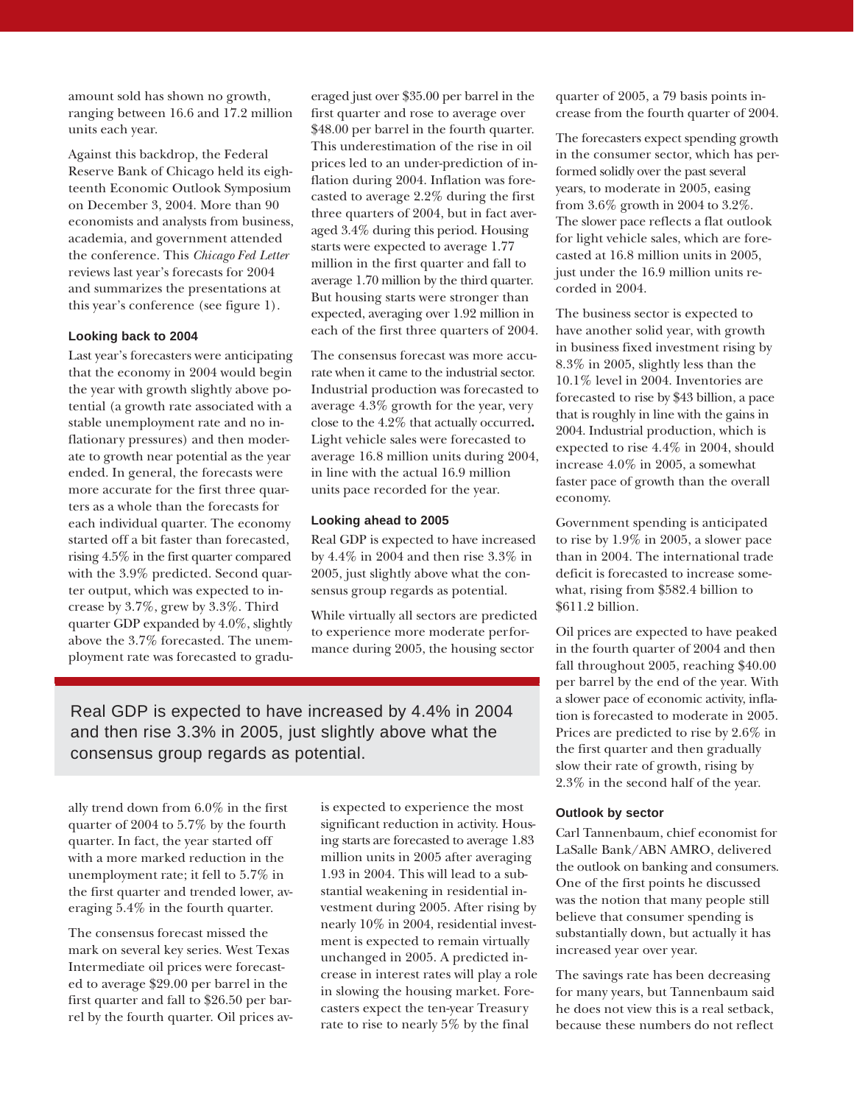amount sold has shown no growth, ranging between 16.6 and 17.2 million units each year.

Against this backdrop, the Federal Reserve Bank of Chicago held its eighteenth Economic Outlook Symposium on December 3, 2004. More than 90 economists and analysts from business, academia, and government attended the conference. This *Chicago Fed Letter* reviews last year's forecasts for 2004 and summarizes the presentations at this year's conference (see figure 1).

# **Looking back to 2004**

Last year's forecasters were anticipating that the economy in 2004 would begin the year with growth slightly above potential (a growth rate associated with a stable unemployment rate and no inflationary pressures) and then moderate to growth near potential as the year ended. In general, the forecasts were more accurate for the first three quarters as a whole than the forecasts for each individual quarter. The economy started off a bit faster than forecasted, rising 4.5% in the first quarter compared with the 3.9% predicted. Second quarter output, which was expected to increase by 3.7%, grew by 3.3%. Third quarter GDP expanded by 4.0%, slightly above the 3.7% forecasted. The unemployment rate was forecasted to gradueraged just over \$35.00 per barrel in the first quarter and rose to average over \$48.00 per barrel in the fourth quarter. This underestimation of the rise in oil prices led to an under-prediction of inflation during 2004. Inflation was forecasted to average 2.2% during the first three quarters of 2004, but in fact averaged 3.4% during this period. Housing starts were expected to average 1.77 million in the first quarter and fall to average 1.70 million by the third quarter. But housing starts were stronger than expected, averaging over 1.92 million in each of the first three quarters of 2004.

The consensus forecast was more accurate when it came to the industrial sector. Industrial production was forecasted to average 4.3% growth for the year, very close to the 4.2% that actually occurred**.** Light vehicle sales were forecasted to average 16.8 million units during 2004, in line with the actual 16.9 million units pace recorded for the year.

## **Looking ahead to 2005**

Real GDP is expected to have increased by 4.4% in 2004 and then rise 3.3% in 2005, just slightly above what the consensus group regards as potential.

While virtually all sectors are predicted to experience more moderate performance during 2005, the housing sector

Real GDP is expected to have increased by 4.4% in 2004 and then rise 3.3% in 2005, just slightly above what the consensus group regards as potential.

ally trend down from 6.0% in the first quarter of 2004 to 5.7% by the fourth quarter. In fact, the year started off with a more marked reduction in the unemployment rate; it fell to 5.7% in the first quarter and trended lower, averaging 5.4% in the fourth quarter.

The consensus forecast missed the mark on several key series. West Texas Intermediate oil prices were forecasted to average \$29.00 per barrel in the first quarter and fall to \$26.50 per barrel by the fourth quarter. Oil prices avis expected to experience the most significant reduction in activity. Housing starts are forecasted to average 1.83 million units in 2005 after averaging 1.93 in 2004. This will lead to a substantial weakening in residential investment during 2005. After rising by nearly 10% in 2004, residential investment is expected to remain virtually unchanged in 2005. A predicted increase in interest rates will play a role in slowing the housing market. Forecasters expect the ten-year Treasury rate to rise to nearly 5% by the final

quarter of 2005, a 79 basis points increase from the fourth quarter of 2004.

The forecasters expect spending growth in the consumer sector, which has performed solidly over the past several years, to moderate in 2005, easing from 3.6% growth in 2004 to 3.2%. The slower pace reflects a flat outlook for light vehicle sales, which are forecasted at 16.8 million units in 2005, just under the 16.9 million units recorded in 2004.

The business sector is expected to have another solid year, with growth in business fixed investment rising by 8.3% in 2005, slightly less than the 10.1% level in 2004. Inventories are forecasted to rise by \$43 billion, a pace that is roughly in line with the gains in 2004. Industrial production, which is expected to rise 4.4% in 2004, should increase 4.0% in 2005, a somewhat faster pace of growth than the overall economy.

Government spending is anticipated to rise by 1.9% in 2005, a slower pace than in 2004. The international trade deficit is forecasted to increase somewhat, rising from \$582.4 billion to \$611.2 billion.

Oil prices are expected to have peaked in the fourth quarter of 2004 and then fall throughout 2005, reaching \$40.00 per barrel by the end of the year. With a slower pace of economic activity, inflation is forecasted to moderate in 2005. Prices are predicted to rise by 2.6% in the first quarter and then gradually slow their rate of growth, rising by 2.3% in the second half of the year.

### **Outlook by sector**

Carl Tannenbaum, chief economist for LaSalle Bank/ABN AMRO, delivered the outlook on banking and consumers. One of the first points he discussed was the notion that many people still believe that consumer spending is substantially down, but actually it has increased year over year.

The savings rate has been decreasing for many years, but Tannenbaum said he does not view this is a real setback, because these numbers do not reflect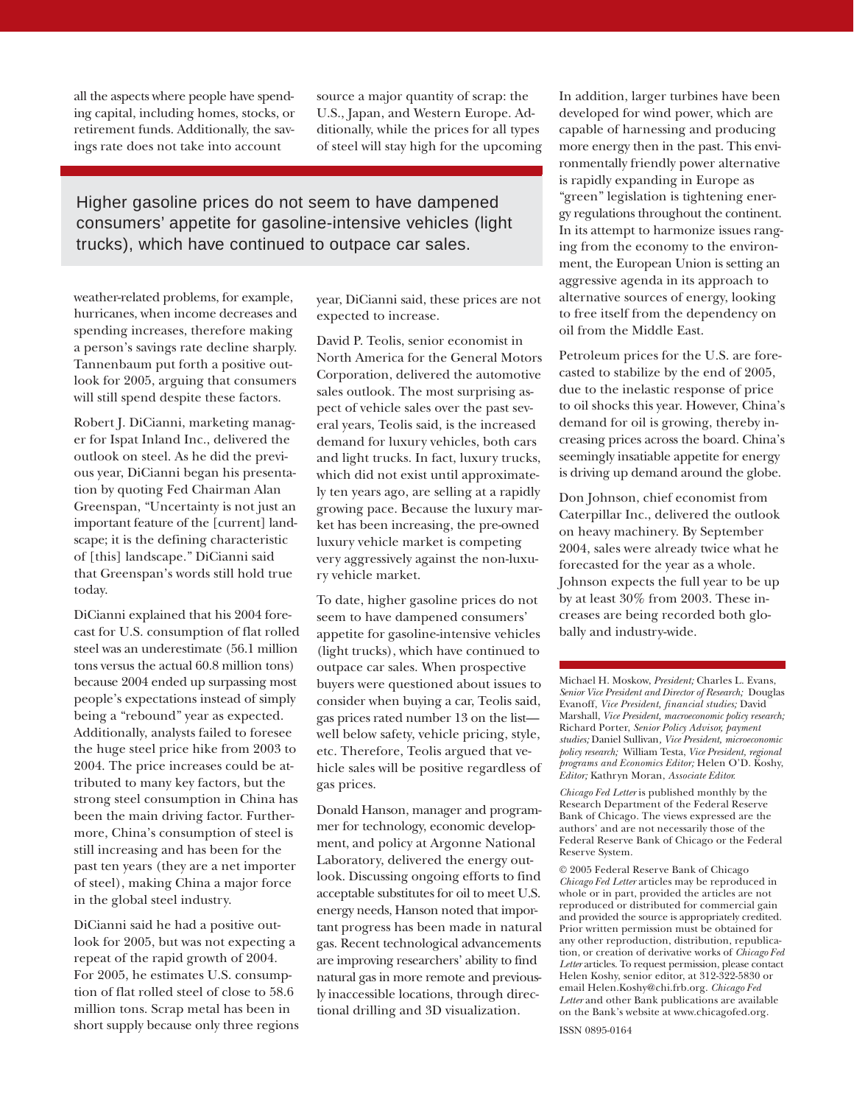all the aspects where people have spending capital, including homes, stocks, or retirement funds. Additionally, the savings rate does not take into account

source a major quantity of scrap: the U.S., Japan, and Western Europe. Additionally, while the prices for all types of steel will stay high for the upcoming

Higher gasoline prices do not seem to have dampened consumers' appetite for gasoline-intensive vehicles (light trucks), which have continued to outpace car sales.

weather-related problems, for example, hurricanes, when income decreases and spending increases, therefore making a person's savings rate decline sharply. Tannenbaum put forth a positive outlook for 2005, arguing that consumers will still spend despite these factors.

Robert J. DiCianni, marketing manager for Ispat Inland Inc., delivered the outlook on steel. As he did the previous year, DiCianni began his presentation by quoting Fed Chairman Alan Greenspan, "Uncertainty is not just an important feature of the [current] landscape; it is the defining characteristic of [this] landscape." DiCianni said that Greenspan's words still hold true today.

DiCianni explained that his 2004 forecast for U.S. consumption of flat rolled steel was an underestimate (56.1 million tons versus the actual 60.8 million tons) because 2004 ended up surpassing most people's expectations instead of simply being a "rebound" year as expected. Additionally, analysts failed to foresee the huge steel price hike from 2003 to 2004. The price increases could be attributed to many key factors, but the strong steel consumption in China has been the main driving factor. Furthermore, China's consumption of steel is still increasing and has been for the past ten years (they are a net importer of steel), making China a major force in the global steel industry.

DiCianni said he had a positive outlook for 2005, but was not expecting a repeat of the rapid growth of 2004. For 2005, he estimates U.S. consumption of flat rolled steel of close to 58.6 million tons. Scrap metal has been in short supply because only three regions year, DiCianni said, these prices are not expected to increase.

David P. Teolis, senior economist in North America for the General Motors Corporation, delivered the automotive sales outlook. The most surprising aspect of vehicle sales over the past several years, Teolis said, is the increased demand for luxury vehicles, both cars and light trucks. In fact, luxury trucks, which did not exist until approximately ten years ago, are selling at a rapidly growing pace. Because the luxury market has been increasing, the pre-owned luxury vehicle market is competing very aggressively against the non-luxury vehicle market.

To date, higher gasoline prices do not seem to have dampened consumers' appetite for gasoline-intensive vehicles (light trucks), which have continued to outpace car sales. When prospective buyers were questioned about issues to consider when buying a car, Teolis said, gas prices rated number 13 on the list well below safety, vehicle pricing, style, etc. Therefore, Teolis argued that vehicle sales will be positive regardless of gas prices.

Donald Hanson, manager and programmer for technology, economic development, and policy at Argonne National Laboratory, delivered the energy outlook. Discussing ongoing efforts to find acceptable substitutes for oil to meet U.S. energy needs, Hanson noted that important progress has been made in natural gas. Recent technological advancements are improving researchers' ability to find natural gas in more remote and previously inaccessible locations, through directional drilling and 3D visualization.

In addition, larger turbines have been developed for wind power, which are capable of harnessing and producing more energy then in the past. This environmentally friendly power alternative is rapidly expanding in Europe as "green" legislation is tightening energy regulations throughout the continent. In its attempt to harmonize issues ranging from the economy to the environment, the European Union is setting an aggressive agenda in its approach to alternative sources of energy, looking to free itself from the dependency on oil from the Middle East.

Petroleum prices for the U.S. are forecasted to stabilize by the end of 2005, due to the inelastic response of price to oil shocks this year. However, China's demand for oil is growing, thereby increasing prices across the board. China's seemingly insatiable appetite for energy is driving up demand around the globe.

Don Johnson, chief economist from Caterpillar Inc., delivered the outlook on heavy machinery. By September 2004, sales were already twice what he forecasted for the year as a whole. Johnson expects the full year to be up by at least 30% from 2003. These increases are being recorded both globally and industry-wide.

Michael H. Moskow, *President;* Charles L. Evans, *Senior Vice President and Director of Research;* Douglas Evanoff, *Vice President, financial studies;* David Marshall, *Vice President, macroeconomic policy research;* Richard Porter, *Senior Policy Advisor, payment studies;* Daniel Sullivan*, Vice President, microeconomic policy research;* William Testa, *Vice President, regional programs and Economics Editor;* Helen O'D. Koshy, *Editor;* Kathryn Moran, *Associate Editor.*

*Chicago Fed Letter* is published monthly by the Research Department of the Federal Reserve Bank of Chicago. The views expressed are the authors' and are not necessarily those of the Federal Reserve Bank of Chicago or the Federal Reserve System.

© 2005 Federal Reserve Bank of Chicago *Chicago Fed Letter* articles may be reproduced in whole or in part, provided the articles are not reproduced or distributed for commercial gain and provided the source is appropriately credited. Prior written permission must be obtained for any other reproduction, distribution, republication, or creation of derivative works of *Chicago Fed Letter* articles. To request permission, please contact Helen Koshy, senior editor, at 312-322-5830 or email Helen.Koshy@chi.frb.org. *Chicago Fed Letter* and other Bank publications are available on the Bank's website at www.chicagofed.org. ISSN 0895-0164